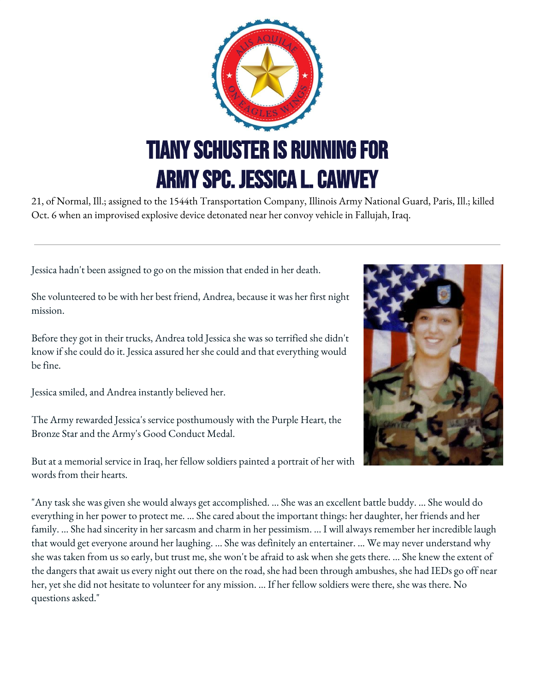

21, of Normal, Ill.; assigned to the 1544th Transportation Company, Illinois Army National Guard, Paris, Ill.; killed Oct. 6 when an improvised explosive device detonated near her convoy vehicle in Fallujah, Iraq.

Jessica hadn't been assigned to go on the mission that ended in her death.

She volunteered to be with her best friend, Andrea, because it was her first night mission.

Before they got in their trucks, Andrea told Jessica she was so terrified she didn't know if she could do it. Jessica assured her she could and that everything would be fine.

Jessica smiled, and Andrea instantly believed her.

The Army rewarded Jessica's service posthumously with the Purple Heart, the Bronze Star and the Army's Good Conduct Medal.

But at a memorial service in Iraq, her fellow soldiers painted a portrait of her with words from their hearts.

"Any task she was given she would always get accomplished. ... She was an excellent battle buddy. ... She would do everything in her power to protect me. ... She cared about the important things: her daughter, her friends and her family. ... She had sincerity in her sarcasm and charm in her pessimism. ... I will always remember her incredible laugh that would get everyone around her laughing. ... She was definitely an entertainer. ... We may never understand why she was taken from us so early, but trust me, she won't be afraid to ask when she gets there. ... She knew the extent of the dangers that await us every night out there on the road, she had been through ambushes, she had IEDs go off near her, yet she did not hesitate to volunteer for any mission. ... If her fellow soldiers were there, she was there. No questions asked."